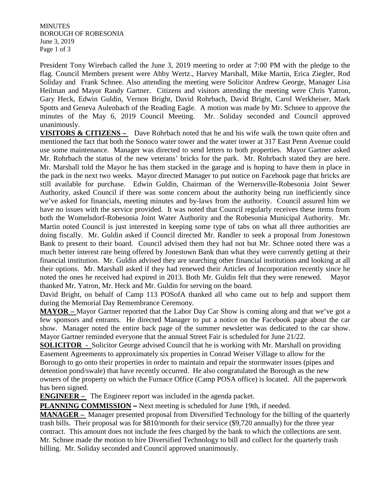**MINUTES** BOROUGH OF ROBESONIA June 3, 2019 Page 1 of 3

President Tony Wirebach called the June 3, 2019 meeting to order at 7:00 PM with the pledge to the flag. Council Members present were Abby Wertz., Harvey Marshall, Mike Martin, Erica Ziegler, Rod Soliday and Frank Schnee. Also attending the meeting were Solicitor Andrew George, Manager Lisa Heilman and Mayor Randy Gartner. Citizens and visitors attending the meeting were Chris Yatron, Gary Heck, Edwin Guldin, Vernon Bright, David Rohrbach, David Bright, Carol Werkheiser, Mark Spotts and Geneva Aulenbach of the Reading Eagle. A motion was made by Mr. Schnee to approve the minutes of the May 6, 2019 Council Meeting. Mr. Soliday seconded and Council approved unanimously.

**VISITORS & CITIZENS –** Dave Rohrbach noted that he and his wife walk the town quite often and mentioned the fact that both the Sonoco water tower and the water tower at 317 East Penn Avenue could use some maintenance. Manager was directed to send letters to both properties. Mayor Gartner asked Mr. Rohrbach the status of the new veterans' bricks for the park. Mr. Rohrbach stated they are here. Mr. Marshall told the Mayor he has them stacked in the garage and is hoping to have them in place in the park in the next two weeks. Mayor directed Manager to put notice on Facebook page that bricks are still available for purchase. Edwin Guldin, Chairman of the Wernersville-Robesonia Joint Sewer Authority, asked Council if there was some concern about the authority being run inefficiently since we've asked for financials, meeting minutes and by-laws from the authority. Council assured him we have no issues with the service provided. It was noted that Council regularly receives these items from both the Womelsdorf-Robesonia Joint Water Authority and the Robesonia Municipal Authority. Mr. Martin noted Council is just interested in keeping some type of tabs on what all three authorities are doing fiscally. Mr. Guldin asked if Council directed Mr. Randler to seek a proposal from Jonestown Bank to present to their board. Council advised them they had not but Mr. Schnee noted there was a much better interest rate being offered by Jonestown Bank than what they were currently getting at their financial institution. Mr. Guldin advised they are searching other financial institutions and looking at all their options. Mr. Marshall asked if they had renewed their Articles of Incorporation recently since he noted the ones he received had expired in 2013. Both Mr. Guldin felt that they were renewed. Mayor thanked Mr. Yatron, Mr. Heck and Mr. Guldin for serving on the board.

David Bright, on behalf of Camp 113 POSofA thanked all who came out to help and support them during the Memorial Day Remembrance Ceremony.

**MAYOR –** Mayor Gartner reported that the Labor Day Car Show is coming along and that we've got a few sponsors and entrants. He directed Manager to put a notice on the Facebook page about the car show. Manager noted the entire back page of the summer newsletter was dedicated to the car show. Mayor Gartner reminded everyone that the annual Street Fair is scheduled for June 21/22.

**SOLICITOR** - Solicitor George advised Council that he is working with Mr. Marshall on providing Easement Agreements to approximately six properties in Conrad Weiser Village to allow for the Borough to go onto their properties in order to maintain and repair the stormwater issues (pipes and detention pond/swale) that have recently occurred. He also congratulated the Borough as the new owners of the property on which the Furnace Office (Camp POSA office) is located. All the paperwork has been signed.

**ENGINEER –** The Engineer report was included in the agenda packet.

**PLANNING COMMISSION –** Next meeting is scheduled for June 19th, if needed.

**MANAGER –** Manager presented proposal from Diversified Technology for the billing of the quarterly trash bills. Their proposal was for \$810/month for their service (\$9,720 annually) for the three year contract. This amount does not include the fees charged by the bank to which the collections are sent. Mr. Schnee made the motion to hire Diversified Technology to bill and collect for the quarterly trash billing. Mr. Soliday seconded and Council approved unanimously.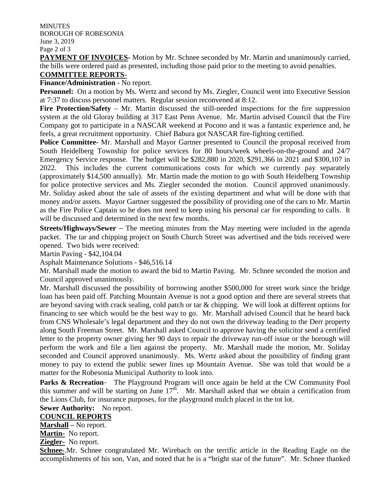**MINUTES** BOROUGH OF ROBESONIA June 3, 2019 Page 2 of 3

**PAYMENT OF INVOICES**- Motion by Mr. Schnee seconded by Mr. Martin and unanimously carried, the bills were ordered paid as presented, including those paid prior to the meeting to avoid penalties.

### **COMMITTEE REPORTS-**

#### **Finance/Administration** - No report.

**Personnel:** On a motion by Ms. Wertz and second by Ms. Ziegler, Council went into Executive Session at 7:37 to discuss personnel matters. Regular session reconvened at 8:12.

**Fire Protection/Safety** – Mr. Martin discussed the still-needed inspections for the fire suppression system at the old Gloray building at 317 East Penn Avenue. Mr. Martin advised Council that the Fire Company got to participate in a NASCAR weekend at Pocono and it was a fantastic experience and, he feels, a great recruitment opportunity. Chief Babura got NASCAR fire-fighting certified.

**Police Committee-** Mr. Marshall and Mayor Gartner presented to Council the proposal received from South Heidelberg Township for police services for 80 hours/week wheels-on-the-ground and 24/7 Emergency Service response. The budget will be \$282,880 in 2020, \$291,366 in 2021 and \$300,107 in 2022. This includes the current communications costs for which we currently pay separately (approximately \$14,500 annually). Mr. Martin made the motion to go with South Heidelberg Township for police protective services and Ms. Ziegler seconded the motion. Council approved unanimously. Mr. Soliday asked about the sale of assets of the existing department and what will be done with that money and/or assets. Mayor Gartner suggested the possibility of providing one of the cars to Mr. Martin as the Fire Police Captain so he does not need to keep using his personal car for responding to calls. It will be discussed and determined in the next few months.

**Streets/Highways/Sewer** – The meeting minutes from the May meeting were included in the agenda packet. The tar and chipping project on South Church Street was advertised and the bids received were opened. Two bids were received:

Martin Paving - \$42,104.04

Asphalt Maintenance Solutions - \$46,516.14

Mr. Marshall made the motion to award the bid to Martin Paving. Mr. Schnee seconded the motion and Council approved unanimously.

Mr. Marshall discussed the possibility of borrowing another \$500,000 for street work since the bridge loan has been paid off. Patching Mountain Avenue is not a good option and there are several streets that are beyond saving with crack sealing, cold patch or tar & chipping. We will look at different options for financing to see which would be the best way to go. Mr. Marshall advised Council that he heard back from CNS Wholesale's legal department and they do not own the driveway leading to the Derr property along South Freeman Street. Mr. Marshall asked Council to approve having the solicitor send a certified letter to the property owner giving her 90 days to repair the driveway run-off issue or the borough will perform the work and file a lien against the property. Mr. Marshall made the motion, Mr. Soliday seconded and Council approved unanimously. Ms. Wertz asked about the possibility of finding grant money to pay to extend the public sewer lines up Mountain Avenue. She was told that would be a matter for the Robesonia Municipal Authority to look into.

Parks & Recreation- The Playground Program will once again be held at the CW Community Pool this summer and will be starting on June  $17<sup>th</sup>$ . Mr. Marshall asked that we obtain a certification from the Lions Club, for insurance purposes, for the playground mulch placed in the tot lot.

**Sewer Authority:** No report.

#### **COUNCIL REPORTS**

**Marshall –** No report.

**Martin-** No report.

**Ziegler-** No report.

**Schnee-**.Mr. Schnee congratulated Mr. Wirebach on the terrific article in the Reading Eagle on the accomplishments of his son, Van, and noted that he is a "bright star of the future". Mr. Schnee thanked